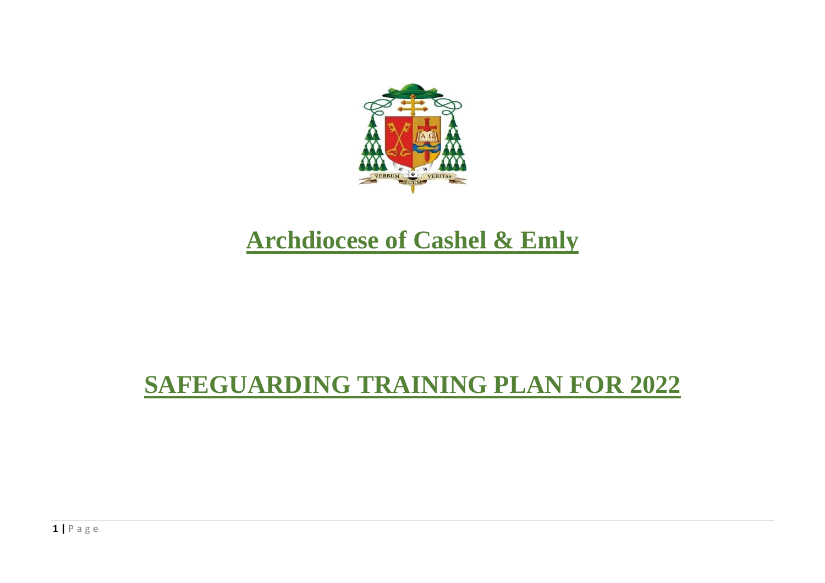

# **Archdiocese of Cashel & Emly**

## **SAFEGUARDING TRAINING PLAN FOR 2022**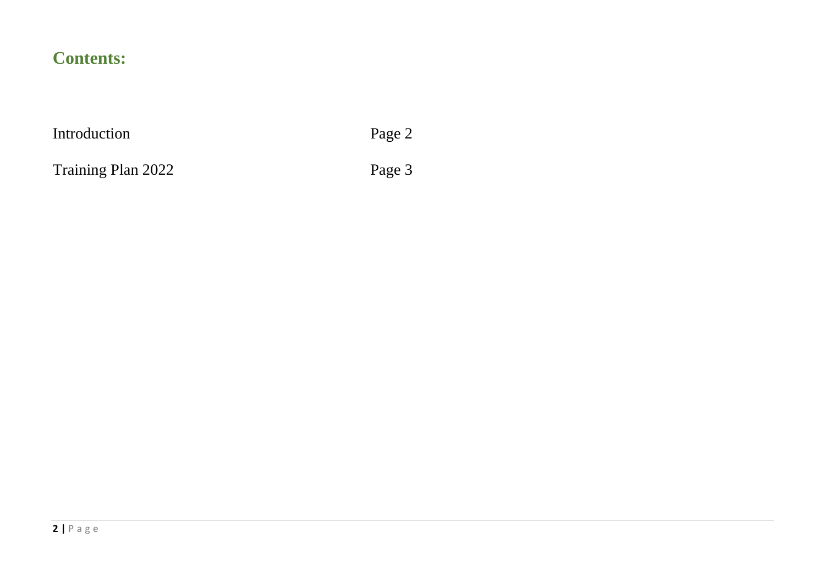## **Contents:**

Introduction Page 2

Training Plan 2022 Page 3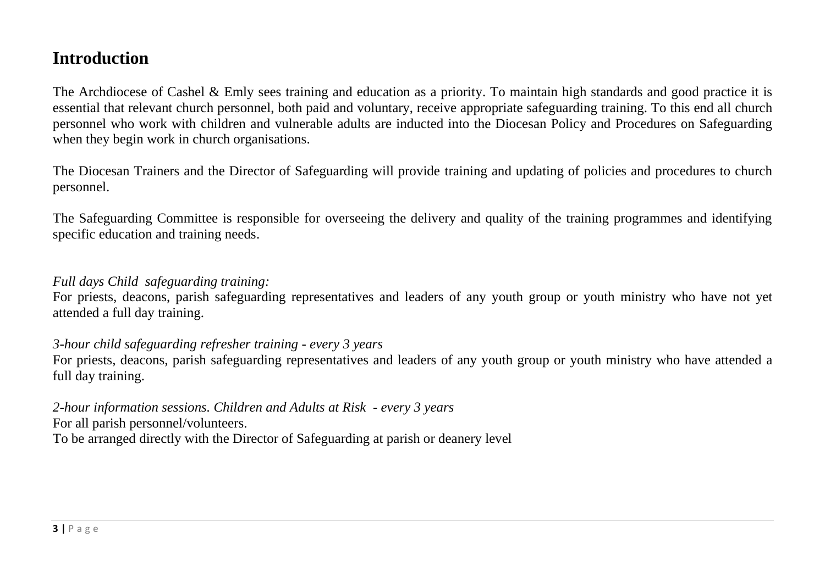## **Introduction**

The Archdiocese of Cashel & Emly sees training and education as a priority. To maintain high standards and good practice it is essential that relevant church personnel, both paid and voluntary, receive appropriate safeguarding training. To this end all church personnel who work with children and vulnerable adults are inducted into the Diocesan Policy and Procedures on Safeguarding when they begin work in church organisations.

The Diocesan Trainers and the Director of Safeguarding will provide training and updating of policies and procedures to church personnel.

The Safeguarding Committee is responsible for overseeing the delivery and quality of the training programmes and identifying specific education and training needs.

### *Full days Child safeguarding training:*

For priests, deacons, parish safeguarding representatives and leaders of any youth group or youth ministry who have not yet attended a full day training.

### *3-hour child safeguarding refresher training - every 3 years*

For priests, deacons, parish safeguarding representatives and leaders of any youth group or youth ministry who have attended a full day training.

*2-hour information sessions. Children and Adults at Risk - every 3 years* For all parish personnel/volunteers. To be arranged directly with the Director of Safeguarding at parish or deanery level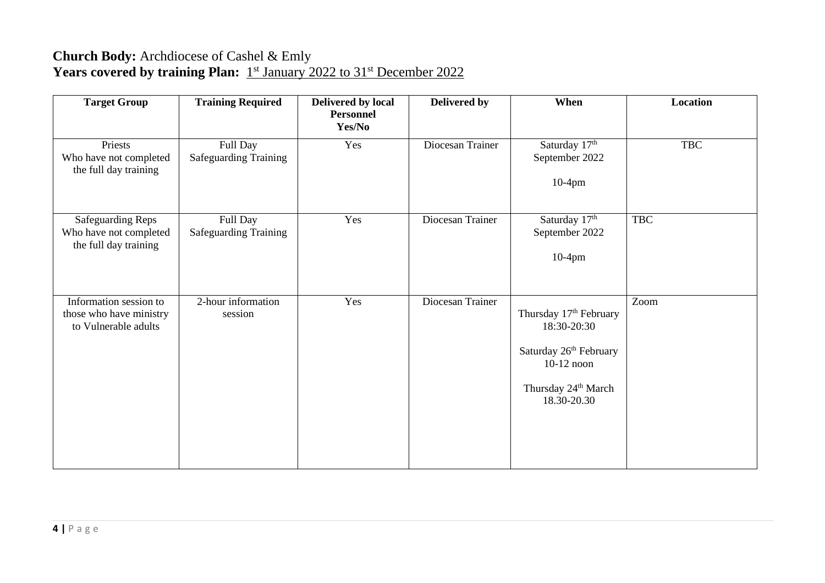### **Church Body:** Archdiocese of Cashel & Emly Years covered by training Plan: 1<sup>st</sup> January 2022 to 31<sup>st</sup> December 2022

| <b>Target Group</b>                                                         | <b>Training Required</b>                 | Delivered by local<br><b>Personnel</b><br>Yes/No | Delivered by     | When                                                                                                                                          | Location   |
|-----------------------------------------------------------------------------|------------------------------------------|--------------------------------------------------|------------------|-----------------------------------------------------------------------------------------------------------------------------------------------|------------|
| Priests<br>Who have not completed<br>the full day training                  | Full Day<br><b>Safeguarding Training</b> | Yes                                              | Diocesan Trainer | Saturday 17th<br>September 2022<br>$10-4$ pm                                                                                                  | <b>TBC</b> |
| <b>Safeguarding Reps</b><br>Who have not completed<br>the full day training | Full Day<br><b>Safeguarding Training</b> | Yes                                              | Diocesan Trainer | Saturday 17th<br>September 2022<br>$10-4$ pm                                                                                                  | <b>TBC</b> |
| Information session to<br>those who have ministry<br>to Vulnerable adults   | 2-hour information<br>session            | Yes                                              | Diocesan Trainer | Thursday 17th February<br>18:30-20:30<br>Saturday 26 <sup>th</sup> February<br>$10-12$ noon<br>Thursday 24 <sup>th</sup> March<br>18.30-20.30 | Zoom       |